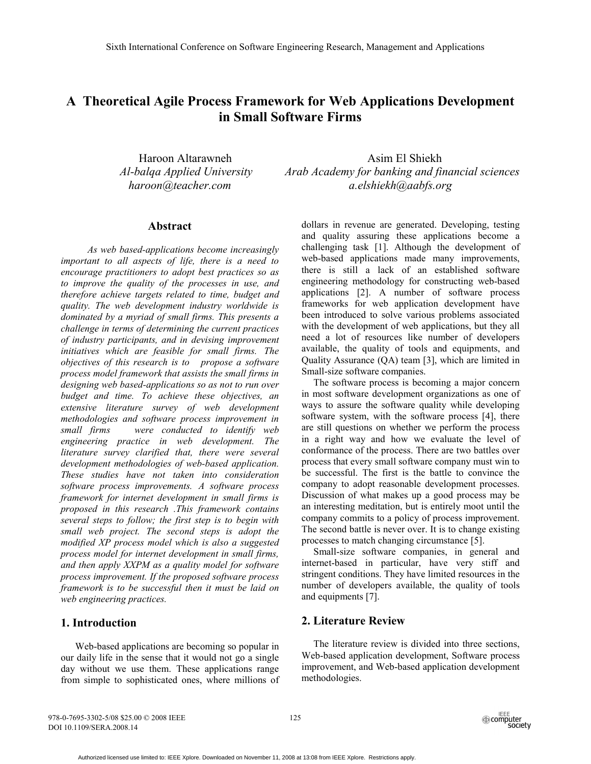# **A Theoretical Agile Process Framework for Web Applications Development in Small Software Firms**

#### **Abstract**

 *As web based-applications become increasingly important to all aspects of life, there is a need to encourage practitioners to adopt best practices so as to improve the quality of the processes in use, and therefore achieve targets related to time, budget and quality. The web development industry worldwide is dominated by a myriad of small firms. This presents a challenge in terms of determining the current practices of industry participants, and in devising improvement initiatives which are feasible for small firms. The objectives of this research is to propose a software process model framework that assists the small firms in designing web based-applications so as not to run over budget and time. To achieve these objectives, an extensive literature survey of web development methodologies and software process improvement in small firms were conducted to identify web engineering practice in web development. The literature survey clarified that, there were several development methodologies of web-based application. These studies have not taken into consideration software process improvements. A software process framework for internet development in small firms is proposed in this research .This framework contains several steps to follow; the first step is to begin with small web project. The second steps is adopt the modified XP process model which is also a suggested process model for internet development in small firms, and then apply XXPM as a quality model for software process improvement. If the proposed software process framework is to be successful then it must be laid on web engineering practices.* 

### **1. Introduction**

 Web-based applications are becoming so popular in our daily life in the sense that it would not go a single day without we use them. These applications range from simple to sophisticated ones, where millions of

Haroon Altarawneh Asim El Shiekh  *Al-balqa Applied University Arab Academy for banking and financial sciences haroon@teacher.com a.elshiekh@aabfs.org* 

> dollars in revenue are generated. Developing, testing and quality assuring these applications become a challenging task [1]. Although the development of web-based applications made many improvements, there is still a lack of an established software engineering methodology for constructing web-based applications [2]. A number of software process frameworks for web application development have been introduced to solve various problems associated with the development of web applications, but they all need a lot of resources like number of developers available, the quality of tools and equipments, and Quality Assurance (QA) team [3], which are limited in Small-size software companies.

> The software process is becoming a major concern in most software development organizations as one of ways to assure the software quality while developing software system, with the software process [4], there are still questions on whether we perform the process in a right way and how we evaluate the level of conformance of the process. There are two battles over process that every small software company must win to be successful. The first is the battle to convince the company to adopt reasonable development processes. Discussion of what makes up a good process may be an interesting meditation, but is entirely moot until the company commits to a policy of process improvement. The second battle is never over. It is to change existing processes to match changing circumstance [5].

> Small-size software companies, in general and internet-based in particular, have very stiff and stringent conditions. They have limited resources in the number of developers available, the quality of tools and equipments [7].

# **2. Literature Review**

The literature review is divided into three sections, Web-based application development, Software process improvement, and Web-based application development methodologies.

978-0-7695-3302-5/08 \$25.00 © 2008 IEEE DOI 10.1109/SERA.2008.14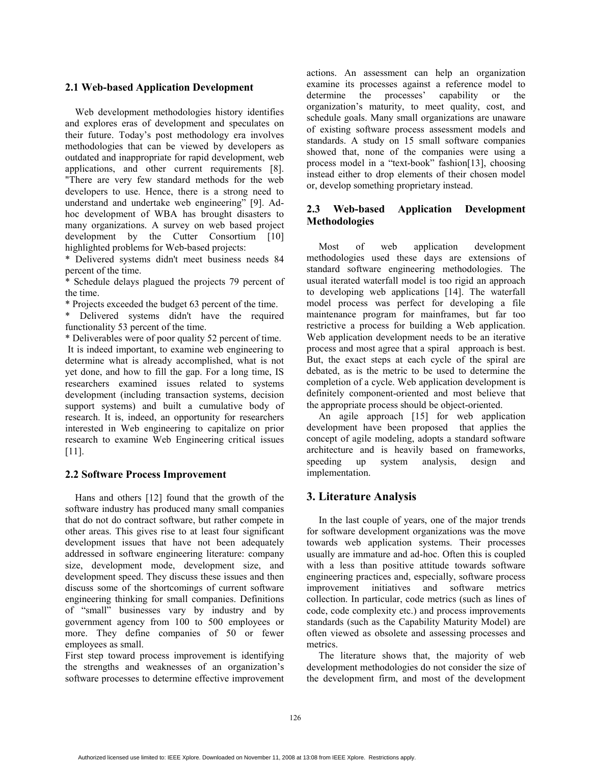### **2.1 Web-based Application Development**

 Web development methodologies history identifies and explores eras of development and speculates on their future. Today's post methodology era involves methodologies that can be viewed by developers as outdated and inappropriate for rapid development, web applications, and other current requirements [8]. "There are very few standard methods for the web developers to use. Hence, there is a strong need to understand and undertake web engineering" [9]. Adhoc development of WBA has brought disasters to many organizations. A survey on web based project development by the Cutter Consortium [10] highlighted problems for Web-based projects:

\* Delivered systems didn't meet business needs 84 percent of the time.

\* Schedule delays plagued the projects 79 percent of the time.

\* Projects exceeded the budget 63 percent of the time.

\* Delivered systems didn't have the required functionality 53 percent of the time.

\* Deliverables were of poor quality 52 percent of time.

 It is indeed important, to examine web engineering to determine what is already accomplished, what is not yet done, and how to fill the gap. For a long time, IS researchers examined issues related to systems development (including transaction systems, decision support systems) and built a cumulative body of research. It is, indeed, an opportunity for researchers interested in Web engineering to capitalize on prior research to examine Web Engineering critical issues [11].

### **2.2 Software Process Improvement**

 Hans and others [12] found that the growth of the software industry has produced many small companies that do not do contract software, but rather compete in other areas. This gives rise to at least four significant development issues that have not been adequately addressed in software engineering literature: company size, development mode, development size, and development speed. They discuss these issues and then discuss some of the shortcomings of current software engineering thinking for small companies. Definitions of "small" businesses vary by industry and by government agency from 100 to 500 employees or more. They define companies of 50 or fewer employees as small.

First step toward process improvement is identifying the strengths and weaknesses of an organization's software processes to determine effective improvement

actions. An assessment can help an organization examine its processes against a reference model to determine the processes' capability or the organization's maturity, to meet quality, cost, and schedule goals. Many small organizations are unaware of existing software process assessment models and standards. A study on 15 small software companies showed that, none of the companies were using a process model in a "text-book" fashion[13], choosing instead either to drop elements of their chosen model or, develop something proprietary instead.

# **2.3 Web-based Application Development Methodologies**

Most of web application development methodologies used these days are extensions of standard software engineering methodologies. The usual iterated waterfall model is too rigid an approach to developing web applications [14]. The waterfall model process was perfect for developing a file maintenance program for mainframes, but far too restrictive a process for building a Web application. Web application development needs to be an iterative process and most agree that a spiral approach is best. But, the exact steps at each cycle of the spiral are debated, as is the metric to be used to determine the completion of a cycle. Web application development is definitely component-oriented and most believe that the appropriate process should be object-oriented.

An agile approach [15] for web application development have been proposed that applies the concept of agile modeling, adopts a standard software architecture and is heavily based on frameworks, speeding up system analysis, design and implementation.

# **3. Literature Analysis**

In the last couple of years, one of the major trends for software development organizations was the move towards web application systems. Their processes usually are immature and ad-hoc. Often this is coupled with a less than positive attitude towards software engineering practices and, especially, software process improvement initiatives and software metrics collection. In particular, code metrics (such as lines of code, code complexity etc.) and process improvements standards (such as the Capability Maturity Model) are often viewed as obsolete and assessing processes and metrics.

The literature shows that, the majority of web development methodologies do not consider the size of the development firm, and most of the development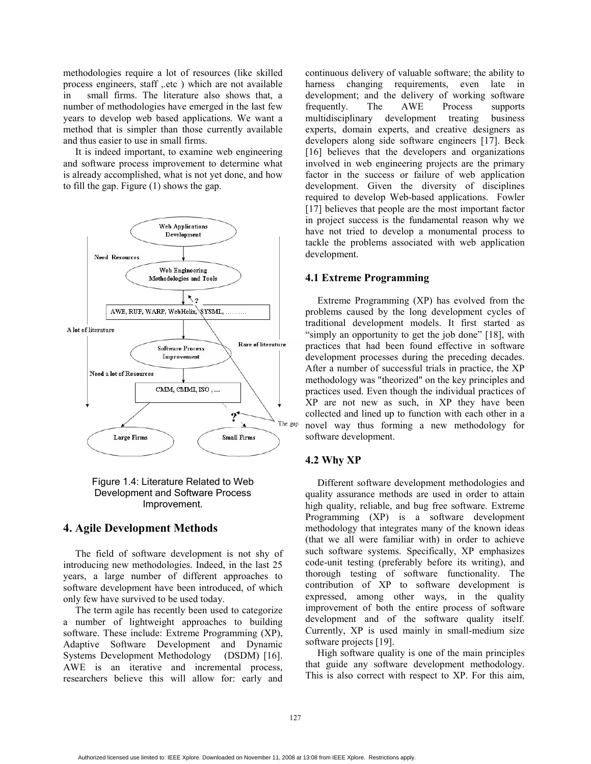methodologies require a lot of resources (like skilled process engineers, staff ,.etc ) which are not available in small firms. The literature also shows that, a number of methodologies have emerged in the last few years to develop web based applications. We want a method that is simpler than those currently available and thus easier to use in small firms.

It is indeed important, to examine web engineering and software process improvement to determine what is already accomplished, what is not yet done, and how to fill the gap. Figure (1) shows the gap.



Figure 1.4: Literature Related to Web Development and Software Process Improvement.

# **4. Agile Development Methods**

The field of software development is not shy of introducing new methodologies. Indeed, in the last 25 years, a large number of different approaches to software development have been introduced, of which only few have survived to be used today.

The term agile has recently been used to categorize a number of lightweight approaches to building software. These include: Extreme Programming (XP), Adaptive Software Development and Dynamic Systems Development Methodology (DSDM) [16]. AWE is an iterative and incremental process, researchers believe this will allow for: early and continuous delivery of valuable software; the ability to harness changing requirements, even late in development; and the delivery of working software frequently. The AWE Process supports multidisciplinary development treating business experts, domain experts, and creative designers as developers along side software engineers [17]. Beck [16] believes that the developers and organizations involved in web engineering projects are the primary factor in the success or failure of web application development. Given the diversity of disciplines required to develop Web-based applications. Fowler [17] believes that people are the most important factor in project success is the fundamental reason why we have not tried to develop a monumental process to tackle the problems associated with web application development.

### **4.1 Extreme Programming**

Extreme Programming (XP) has evolved from the problems caused by the long development cycles of traditional development models. It first started as "simply an opportunity to get the job done" [18], with practices that had been found effective in software development processes during the preceding decades. After a number of successful trials in practice, the XP methodology was "theorized" on the key principles and practices used. Even though the individual practices of XP are not new as such, in XP they have been collected and lined up to function with each other in a novel way thus forming a new methodology for software development.

### **4.2 Why XP**

Different software development methodologies and quality assurance methods are used in order to attain high quality, reliable, and bug free software. Extreme Programming (XP) is a software development methodology that integrates many of the known ideas (that we all were familiar with) in order to achieve such software systems. Specifically, XP emphasizes code-unit testing (preferably before its writing), and thorough testing of software functionality. The contribution of XP to software development is expressed, among other ways, in the quality improvement of both the entire process of software development and of the software quality itself. Currently, XP is used mainly in small-medium size software projects [19].

High software quality is one of the main principles that guide any software development methodology. This is also correct with respect to XP. For this aim,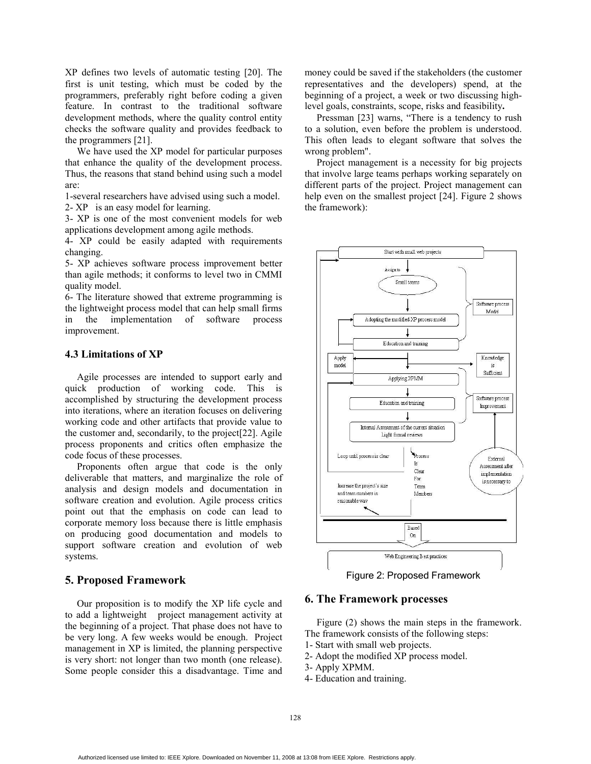XP defines two levels of automatic testing [20]. The first is unit testing, which must be coded by the programmers, preferably right before coding a given feature. In contrast to the traditional software development methods, where the quality control entity checks the software quality and provides feedback to the programmers [21].

We have used the XP model for particular purposes that enhance the quality of the development process. Thus, the reasons that stand behind using such a model are:

1-several researchers have advised using such a model. 2- XP is an easy model for learning.

3- XP is one of the most convenient models for web applications development among agile methods.

4- XP could be easily adapted with requirements changing.

5- XP achieves software process improvement better than agile methods; it conforms to level two in CMMI quality model.

6- The literature showed that extreme programming is the lightweight process model that can help small firms in the implementation of software process improvement.

### **4.3 Limitations of XP**

Agile processes are intended to support early and quick production of working code. This is accomplished by structuring the development process into iterations, where an iteration focuses on delivering working code and other artifacts that provide value to the customer and, secondarily, to the project[22]. Agile process proponents and critics often emphasize the code focus of these processes.

Proponents often argue that code is the only deliverable that matters, and marginalize the role of analysis and design models and documentation in software creation and evolution. Agile process critics point out that the emphasis on code can lead to corporate memory loss because there is little emphasis on producing good documentation and models to support software creation and evolution of web systems.

### **5. Proposed Framework**

Our proposition is to modify the XP life cycle and to add a lightweight project management activity at the beginning of a project. That phase does not have to be very long. A few weeks would be enough. Project management in XP is limited, the planning perspective is very short: not longer than two month (one release). Some people consider this a disadvantage. Time and money could be saved if the stakeholders (the customer representatives and the developers) spend, at the beginning of a project, a week or two discussing highlevel goals, constraints, scope, risks and feasibility**.** 

Pressman [23] warns, "There is a tendency to rush to a solution, even before the problem is understood. This often leads to elegant software that solves the wrong problem".

Project management is a necessity for big projects that involve large teams perhaps working separately on different parts of the project. Project management can help even on the smallest project [24]. Figure 2 shows the framework):



Figure 2: Proposed Framework

### **6. The Framework processes**

Figure (2) shows the main steps in the framework. The framework consists of the following steps:

- 1- Start with small web projects.
- 2- Adopt the modified XP process model.
- 3- Apply XPMM.
- 4- Education and training.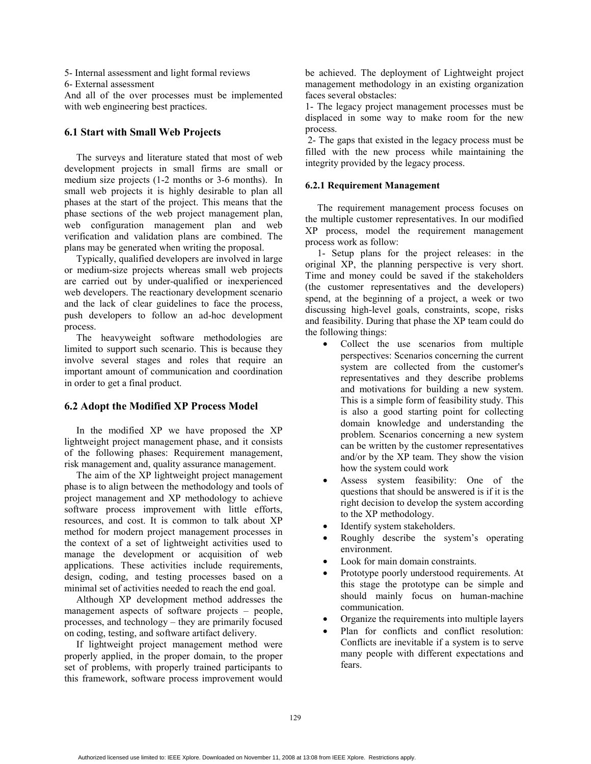5- Internal assessment and light formal reviews

6- External assessment

And all of the over processes must be implemented with web engineering best practices.

# **6.1 Start with Small Web Projects**

The surveys and literature stated that most of web development projects in small firms are small or medium size projects (1-2 months or 3-6 months). In small web projects it is highly desirable to plan all phases at the start of the project. This means that the phase sections of the web project management plan, web configuration management plan and web verification and validation plans are combined. The plans may be generated when writing the proposal.

Typically, qualified developers are involved in large or medium-size projects whereas small web projects are carried out by under-qualified or inexperienced web developers. The reactionary development scenario and the lack of clear guidelines to face the process, push developers to follow an ad-hoc development process.

The heavyweight software methodologies are limited to support such scenario. This is because they involve several stages and roles that require an important amount of communication and coordination in order to get a final product.

# **6.2 Adopt the Modified XP Process Model**

In the modified XP we have proposed the XP lightweight project management phase, and it consists of the following phases: Requirement management, risk management and, quality assurance management.

The aim of the XP lightweight project management phase is to align between the methodology and tools of project management and XP methodology to achieve software process improvement with little efforts, resources, and cost. It is common to talk about XP method for modern project management processes in the context of a set of lightweight activities used to manage the development or acquisition of web applications. These activities include requirements, design, coding, and testing processes based on a minimal set of activities needed to reach the end goal.

Although XP development method addresses the management aspects of software projects – people, processes, and technology – they are primarily focused on coding, testing, and software artifact delivery.

If lightweight project management method were properly applied, in the proper domain, to the proper set of problems, with properly trained participants to this framework, software process improvement would be achieved. The deployment of Lightweight project management methodology in an existing organization faces several obstacles:

1- The legacy project management processes must be displaced in some way to make room for the new process.

2- The gaps that existed in the legacy process must be filled with the new process while maintaining the integrity provided by the legacy process.

### **6.2.1 Requirement Management**

The requirement management process focuses on the multiple customer representatives. In our modified XP process, model the requirement management process work as follow:

1- Setup plans for the project releases: in the original XP, the planning perspective is very short. Time and money could be saved if the stakeholders (the customer representatives and the developers) spend, at the beginning of a project, a week or two discussing high-level goals, constraints, scope, risks and feasibility. During that phase the XP team could do the following things:

- Collect the use scenarios from multiple perspectives: Scenarios concerning the current system are collected from the customer's representatives and they describe problems and motivations for building a new system. This is a simple form of feasibility study. This is also a good starting point for collecting domain knowledge and understanding the problem. Scenarios concerning a new system can be written by the customer representatives and/or by the XP team. They show the vision how the system could work
- Assess system feasibility: One of the questions that should be answered is if it is the right decision to develop the system according to the XP methodology.
- Identify system stakeholders.
- Roughly describe the system's operating environment.
- Look for main domain constraints.
- Prototype poorly understood requirements. At this stage the prototype can be simple and should mainly focus on human-machine communication.
- Organize the requirements into multiple layers
- Plan for conflicts and conflict resolution: Conflicts are inevitable if a system is to serve many people with different expectations and fears.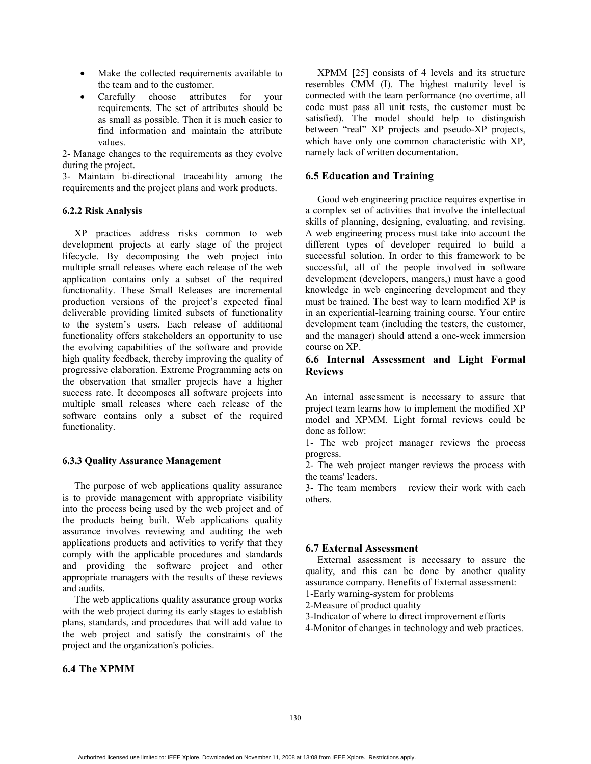- Make the collected requirements available to the team and to the customer.
- Carefully choose attributes for your requirements. The set of attributes should be as small as possible. Then it is much easier to find information and maintain the attribute values.

2- Manage changes to the requirements as they evolve during the project.

3- Maintain bi-directional traceability among the requirements and the project plans and work products.

#### **6.2.2 Risk Analysis**

XP practices address risks common to web development projects at early stage of the project lifecycle. By decomposing the web project into multiple small releases where each release of the web application contains only a subset of the required functionality. These Small Releases are incremental production versions of the project's expected final deliverable providing limited subsets of functionality to the system's users. Each release of additional functionality offers stakeholders an opportunity to use the evolving capabilities of the software and provide high quality feedback, thereby improving the quality of progressive elaboration. Extreme Programming acts on the observation that smaller projects have a higher success rate. It decomposes all software projects into multiple small releases where each release of the software contains only a subset of the required functionality.

#### **6.3.3 Quality Assurance Management**

The purpose of web applications quality assurance is to provide management with appropriate visibility into the process being used by the web project and of the products being built. Web applications quality assurance involves reviewing and auditing the web applications products and activities to verify that they comply with the applicable procedures and standards and providing the software project and other appropriate managers with the results of these reviews and audits.

The web applications quality assurance group works with the web project during its early stages to establish plans, standards, and procedures that will add value to the web project and satisfy the constraints of the project and the organization's policies.

### **6.4 The XPMM**

XPMM [25] consists of 4 levels and its structure resembles CMM (I). The highest maturity level is connected with the team performance (no overtime, all code must pass all unit tests, the customer must be satisfied). The model should help to distinguish between "real" XP projects and pseudo-XP projects, which have only one common characteristic with XP, namely lack of written documentation.

### **6.5 Education and Training**

Good web engineering practice requires expertise in a complex set of activities that involve the intellectual skills of planning, designing, evaluating, and revising. A web engineering process must take into account the different types of developer required to build a successful solution. In order to this framework to be successful, all of the people involved in software development (developers, mangers,) must have a good knowledge in web engineering development and they must be trained. The best way to learn modified XP is in an experiential-learning training course. Your entire development team (including the testers, the customer, and the manager) should attend a one-week immersion course on XP.

### **6.6 Internal Assessment and Light Formal Reviews**

An internal assessment is necessary to assure that project team learns how to implement the modified XP model and XPMM. Light formal reviews could be done as follow:

1- The web project manager reviews the process progress.

2- The web project manger reviews the process with the teams' leaders.

3- The team members review their work with each others.

#### **6.7 External Assessment**

External assessment is necessary to assure the quality, and this can be done by another quality assurance company. Benefits of External assessment:

1-Early warning-system for problems

2-Measure of product quality

3-Indicator of where to direct improvement efforts

4-Monitor of changes in technology and web practices.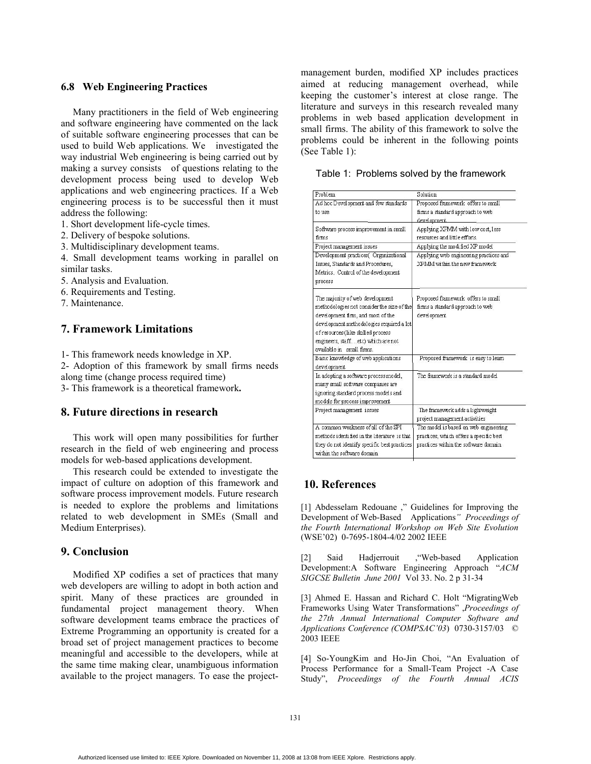### **6.8 Web Engineering Practices**

Many practitioners in the field of Web engineering and software engineering have commented on the lack of suitable software engineering processes that can be used to build Web applications. We investigated the way industrial Web engineering is being carried out by making a survey consists of questions relating to the development process being used to develop Web applications and web engineering practices. If a Web engineering process is to be successful then it must address the following:

1. Short development life-cycle times.

2. Delivery of bespoke solutions.

3. Multidisciplinary development teams.

4. Small development teams working in parallel on similar tasks.

5. Analysis and Evaluation.

6. Requirements and Testing.

7. Maintenance.

# **7. Framework Limitations**

1- This framework needs knowledge in XP.

2- Adoption of this framework by small firms needs along time (change process required time)

3- This framework is a theoretical framework**.** 

# **8. Future directions in research**

This work will open many possibilities for further research in the field of web engineering and process models for web-based applications development.

This research could be extended to investigate the impact of culture on adoption of this framework and software process improvement models. Future research is needed to explore the problems and limitations related to web development in SMEs (Small and Medium Enterprises).

# **9. Conclusion**

Modified XP codifies a set of practices that many web developers are willing to adopt in both action and spirit. Many of these practices are grounded in fundamental project management theory. When software development teams embrace the practices of Extreme Programming an opportunity is created for a broad set of project management practices to become meaningful and accessible to the developers, while at the same time making clear, unambiguous information available to the project managers. To ease the projectmanagement burden, modified XP includes practices aimed at reducing management overhead, while keeping the customer's interest at close range. The literature and surveys in this research revealed many problems in web based application development in small firms. The ability of this framework to solve the problems could be inherent in the following points (See Table 1):

|  |  |  |  | Table 1: Problems solved by the framework |
|--|--|--|--|-------------------------------------------|
|--|--|--|--|-------------------------------------------|

| Problem                                                                                                                                                                                                                                                                | Solution                                                                                                                 |  |  |
|------------------------------------------------------------------------------------------------------------------------------------------------------------------------------------------------------------------------------------------------------------------------|--------------------------------------------------------------------------------------------------------------------------|--|--|
| Ad hoc Development and few standards<br>to use.                                                                                                                                                                                                                        | Proposed framework offers to small<br>firms a standard approach to web<br>development.                                   |  |  |
| Software process improvement in small<br>firms                                                                                                                                                                                                                         | Applying XPMM with low cost, less<br>resources and little efforts                                                        |  |  |
| Project management issues                                                                                                                                                                                                                                              | Applying the modified XP model                                                                                           |  |  |
| Development practices( Organizational<br>Issues, Standards and Procedures.<br>Metrics, Control of the development<br>process                                                                                                                                           | Applying web engineering practices and<br>XPMM within the new framework                                                  |  |  |
| The majority of web development<br>methodologies not consider the size of the<br>development firm, and most of the<br>development methodologies required a lot<br>of resources (like skilled process<br>engineers, staffetc) which are not<br>available in small firms | Proposed framework offers to small<br>firms a standard approach to web<br>development                                    |  |  |
| Basic knowledge of web applications<br>development                                                                                                                                                                                                                     | Proposed framework is easy to learn                                                                                      |  |  |
| In adopting a software process model,<br>many small software companies are<br>ignoring standard process models and<br>models for process improvement                                                                                                                   | The framework is a standard model                                                                                        |  |  |
| Project management issues                                                                                                                                                                                                                                              | The framework adds a lightweight<br>project management activities                                                        |  |  |
| A common weakness of all of the SPI<br>methods identified in the literature is that<br>they do not identify specific best practices<br>within the software domain.                                                                                                     | The model is based on web engineering<br>practices, which offers a specific best<br>practices within the software domain |  |  |

# **10. References**

[1] Abdesselam Redouane," Guidelines for Improving the Development of Web-Based Applications*" Proceedings of the Fourth International Workshop on Web Site Evolution*  (WSE'02) 0-7695-1804-4/02 2002 IEEE

[2] Said Hadjerrouit ,"Web-based Application Development:A Software Engineering Approach "*ACM SIGCSE Bulletin June 2001* Vol 33. No. 2 p 31-34

[3] Ahmed E. Hassan and Richard C. Holt "MigratingWeb Frameworks Using Water Transformations" ,*Proceedings of the 27th Annual International Computer Software and Applications Conference (COMPSAC'03*) 0730-3157/03 © 2003 IEEE

[4] So-YoungKim and Ho-Jin Choi, "An Evaluation of Process Performance for a Small-Team Project -A Case Study", *Proceedings of the Fourth Annual ACIS*